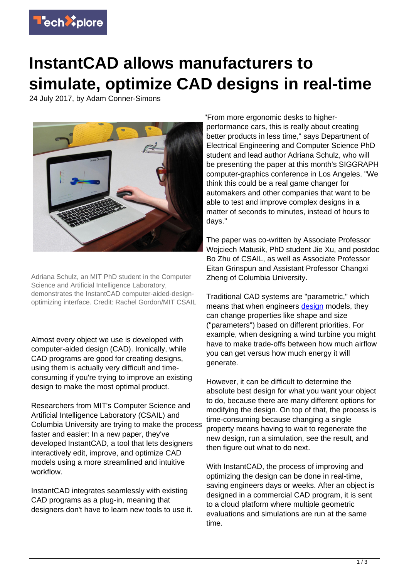

## **InstantCAD allows manufacturers to simulate, optimize CAD designs in real-time**

24 July 2017, by Adam Conner-Simons



Adriana Schulz, an MIT PhD student in the Computer Science and Artificial Intelligence Laboratory, demonstrates the InstantCAD computer-aided-designoptimizing interface. Credit: Rachel Gordon/MIT CSAIL

Almost every object we use is developed with computer-aided design (CAD). Ironically, while CAD programs are good for creating designs, using them is actually very difficult and timeconsuming if you're trying to improve an existing design to make the most optimal product.

Researchers from MIT's Computer Science and Artificial Intelligence Laboratory (CSAIL) and Columbia University are trying to make the process faster and easier: In a new paper, they've developed InstantCAD, a tool that lets designers interactively edit, improve, and optimize CAD models using a more streamlined and intuitive workflow.

InstantCAD integrates seamlessly with existing CAD programs as a plug-in, meaning that designers don't have to learn new tools to use it. "From more ergonomic desks to higherperformance cars, this is really about creating better products in less time," says Department of Electrical Engineering and Computer Science PhD student and lead author Adriana Schulz, who will be presenting the paper at this month's SIGGRAPH computer-graphics conference in Los Angeles. "We think this could be a real game changer for automakers and other companies that want to be able to test and improve complex designs in a matter of seconds to minutes, instead of hours to days."

The paper was co-written by Associate Professor Wojciech Matusik, PhD student Jie Xu, and postdoc Bo Zhu of CSAIL, as well as Associate Professor Eitan Grinspun and Assistant Professor Changxi Zheng of Columbia University.

Traditional CAD systems are "parametric," which means that when engineers [design](https://techxplore.com/tags/design/) models, they can change properties like shape and size ("parameters") based on different priorities. For example, when designing a wind turbine you might have to make trade-offs between how much airflow you can get versus how much energy it will generate.

However, it can be difficult to determine the absolute best design for what you want your object to do, because there are many different options for modifying the design. On top of that, the process is time-consuming because changing a single property means having to wait to regenerate the new design, run a simulation, see the result, and then figure out what to do next.

With InstantCAD, the process of improving and optimizing the design can be done in real-time, saving engineers days or weeks. After an object is designed in a commercial CAD program, it is sent to a cloud platform where multiple geometric evaluations and simulations are run at the same time.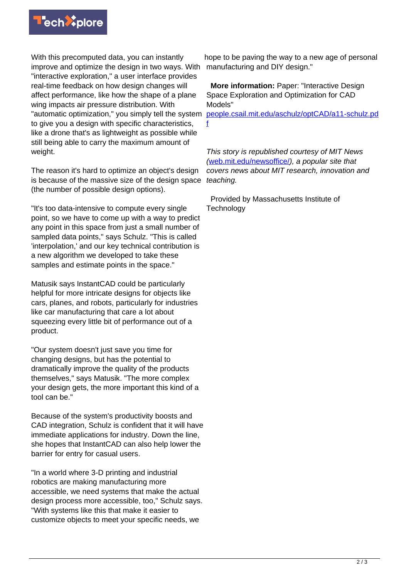

With this precomputed data, you can instantly improve and optimize the design in two ways. With "interactive exploration," a user interface provides real-time feedback on how design changes will affect performance, like how the shape of a plane wing impacts air pressure distribution. With "automatic optimization," you simply tell the system to give you a design with specific characteristics, like a drone that's as lightweight as possible while still being able to carry the maximum amount of weight.

The reason it's hard to optimize an object's design is because of the massive size of the design space (the number of possible design options).

"It's too data-intensive to compute every single point, so we have to come up with a way to predict any point in this space from just a small number of sampled data points," says Schulz. "This is called 'interpolation,' and our key technical contribution is a new algorithm we developed to take these samples and estimate points in the space."

Matusik says InstantCAD could be particularly helpful for more intricate designs for objects like cars, planes, and robots, particularly for industries like car manufacturing that care a lot about squeezing every little bit of performance out of a product.

"Our system doesn't just save you time for changing designs, but has the potential to dramatically improve the quality of the products themselves," says Matusik. "The more complex your design gets, the more important this kind of a tool can be."

Because of the system's productivity boosts and CAD integration, Schulz is confident that it will have immediate applications for industry. Down the line, she hopes that InstantCAD can also help lower the barrier for entry for casual users.

"In a world where 3-D printing and industrial robotics are making manufacturing more accessible, we need systems that make the actual design process more accessible, too," Schulz says. "With systems like this that make it easier to customize objects to meet your specific needs, we

hope to be paving the way to a new age of personal manufacturing and DIY design."

 **More information:** Paper: "Interactive Design Space Exploration and Optimization for CAD Models"

[people.csail.mit.edu/aschulz/optCAD/a11-schulz.pd](https://people.csail.mit.edu/aschulz/optCAD/a11-schulz.pdf) [f](https://people.csail.mit.edu/aschulz/optCAD/a11-schulz.pdf)

This story is republished courtesy of MIT News ([web.mit.edu/newsoffice/](http://web.mit.edu/newsoffice/)), a popular site that covers news about MIT research, innovation and teaching.

 Provided by Massachusetts Institute of **Technology**